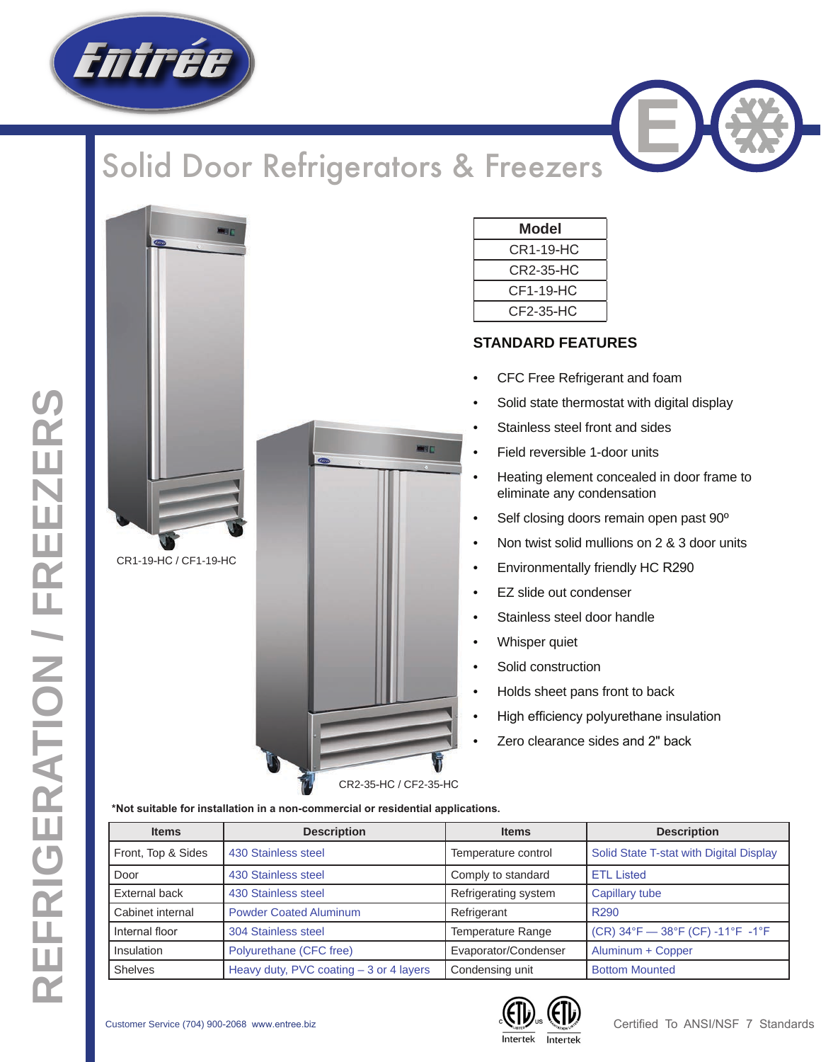

## Solid Door Refrigerators & Freezers



CR1-19-HC / CF1-19-HC

|                                      | ■日 |   |
|--------------------------------------|----|---|
| $\bullet$<br>$\overline{\mathbb{Q}}$ |    |   |
|                                      |    |   |
|                                      |    |   |
|                                      |    |   |
|                                      |    |   |
|                                      |    |   |
|                                      |    | ø |

| Model     |  |
|-----------|--|
| CR1-19-HC |  |
| CR2-35-HC |  |
| CF1-19-HC |  |
| CF2-35-HC |  |

## **STANDARD FEATURES**

- CFC Free Refrigerant and foam
- Solid state thermostat with digital display
- Stainless steel front and sides
- Field reversible 1-door units
- Heating element concealed in door frame to eliminate any condensation
- Self closing doors remain open past 90º
- Non twist solid mullions on 2 & 3 door units
- Environmentally friendly HC R290
- EZ slide out condenser
- Stainless steel door handle
- Whisper quiet
- Solid construction
- Holds sheet pans front to back
- High efficiency polyurethane insulation
- Zero clearance sides and 2" back

**\*Not suitable for installation in a non-commercial or residential applications.**

| <b>Items</b>       | <b>Description</b>                       | <b>Items</b>         | <b>Description</b>                      |  |  |
|--------------------|------------------------------------------|----------------------|-----------------------------------------|--|--|
| Front, Top & Sides | 430 Stainless steel                      | Temperature control  | Solid State T-stat with Digital Display |  |  |
| Door               | 430 Stainless steel                      | Comply to standard   | <b>ETL Listed</b>                       |  |  |
| External back      | 430 Stainless steel                      | Refrigerating system | Capillary tube                          |  |  |
| Cabinet internal   | <b>Powder Coated Aluminum</b>            | Refrigerant          | R <sub>290</sub>                        |  |  |
| Internal floor     | 304 Stainless steel                      | Temperature Range    | $(CR)$ 34°F - 38°F (CF) -11°F -1°F      |  |  |
| Insulation         | Polyurethane (CFC free)                  | Evaporator/Condenser | Aluminum + Copper                       |  |  |
| <b>Shelves</b>     | Heavy duty, PVC coating $-3$ or 4 layers | Condensing unit      | <b>Bottom Mounted</b>                   |  |  |